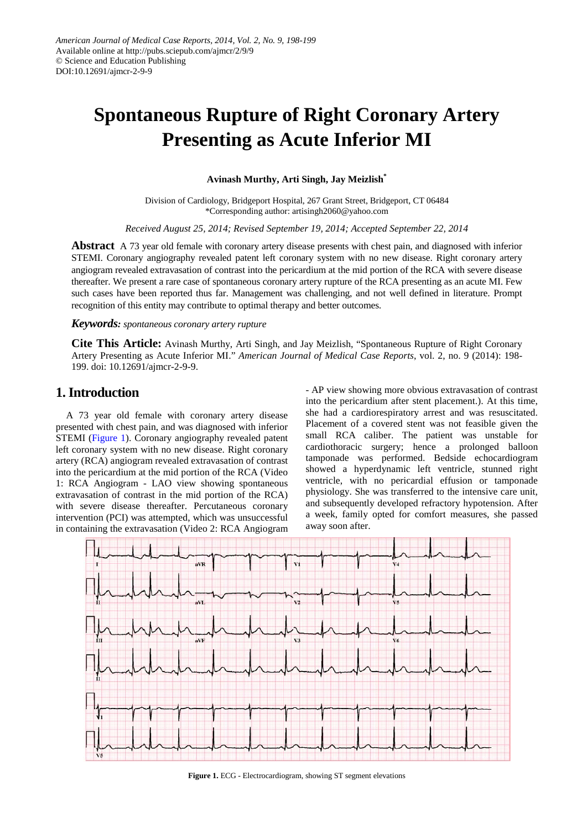# **Spontaneous Rupture of Right Coronary Artery Presenting as Acute Inferior MI**

**Avinash Murthy, Arti Singh, Jay Meizlish\***

Division of Cardiology, Bridgeport Hospital, 267 Grant Street, Bridgeport, CT 06484 \*Corresponding author: artisingh2060@yahoo.com

*Received August 25, 2014; Revised September 19, 2014; Accepted September 22, 2014*

**Abstract** A 73 year old female with coronary artery disease presents with chest pain, and diagnosed with inferior STEMI. Coronary angiography revealed patent left coronary system with no new disease. Right coronary artery angiogram revealed extravasation of contrast into the pericardium at the mid portion of the RCA with severe disease thereafter. We present a rare case of spontaneous coronary artery rupture of the RCA presenting as an acute MI. Few such cases have been reported thus far. Management was challenging, and not well defined in literature. Prompt recognition of this entity may contribute to optimal therapy and better outcomes.

#### *Keywords: spontaneous coronary artery rupture*

**Cite This Article:** Avinash Murthy, Arti Singh, and Jay Meizlish, "Spontaneous Rupture of Right Coronary Artery Presenting as Acute Inferior MI." *American Journal of Medical Case Reports*, vol. 2, no. 9 (2014): 198- 199. doi: 10.12691/ajmcr-2-9-9.

#### **1. Introduction**

A 73 year old female with coronary artery disease presented with chest pain, and was diagnosed with inferior STEMI [\(Figure 1\)](#page-0-0). Coronary angiography revealed patent left coronary system with no new disease. Right coronary artery (RCA) angiogram revealed extravasation of contrast into the pericardium at the mid portion of the RCA (Video 1: RCA Angiogram - LAO view showing spontaneous extravasation of contrast in the mid portion of the RCA) with severe disease thereafter. Percutaneous coronary intervention (PCI) was attempted, which was unsuccessful in containing the extravasation (Video 2: RCA Angiogram

- AP view showing more obvious extravasation of contrast into the pericardium after stent placement.). At this time, she had a cardiorespiratory arrest and was resuscitated. Placement of a covered stent was not feasible given the small RCA caliber. The patient was unstable for cardiothoracic surgery; hence a prolonged balloon tamponade was performed. Bedside echocardiogram showed a hyperdynamic left ventricle, stunned right ventricle, with no pericardial effusion or tamponade physiology. She was transferred to the intensive care unit, and subsequently developed refractory hypotension. After a week, family opted for comfort measures, she passed away soon after.

<span id="page-0-0"></span>

**Figure 1.** ECG - Electrocardiogram, showing ST segment elevations